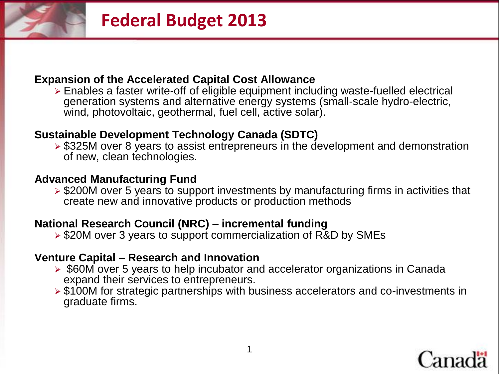

#### **Expansion of the Accelerated Capital Cost Allowance**

 Enables a faster write-off of eligible equipment including waste-fuelled electrical generation systems and alternative energy systems (small-scale hydro-electric, wind, photovoltaic, geothermal, fuel cell, active solar).

## **Sustainable Development Technology Canada (SDTC)**

 $\geq$  \$325M over 8 years to assist entrepreneurs in the development and demonstration of new, clean technologies.

#### **Advanced Manufacturing Fund**

 \$200M over 5 years to support investments by manufacturing firms in activities that create new and innovative products or production methods

### **National Research Council (NRC) – incremental funding**

**► \$20M over 3 years to support commercialization of R&D by SMEs** 

#### **Venture Capital – Research and Innovation**

- ▶ \$60M over 5 years to help incubator and accelerator organizations in Canada expand their services to entrepreneurs.
- \$100M for strategic partnerships with business accelerators and co-investments in graduate firms.

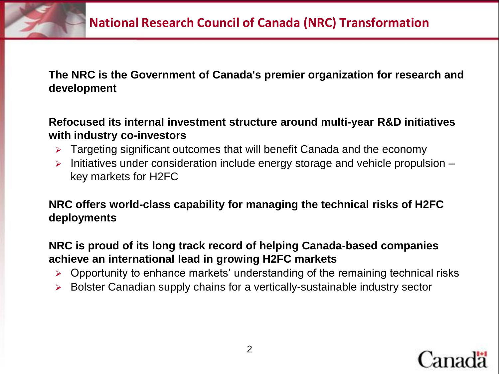

**The NRC is the Government of Canada's premier organization for research and development**

## **Refocused its internal investment structure around multi-year R&D initiatives with industry co-investors**

- **EX** Targeting significant outcomes that will benefit Canada and the economy
- $\triangleright$  Initiatives under consideration include energy storage and vehicle propulsion  $$ key markets for H2FC

# **NRC offers world-class capability for managing the technical risks of H2FC deployments**

## **NRC is proud of its long track record of helping Canada-based companies achieve an international lead in growing H2FC markets**

- $\triangleright$  Opportunity to enhance markets' understanding of the remaining technical risks
- Bolster Canadian supply chains for a vertically-sustainable industry sector

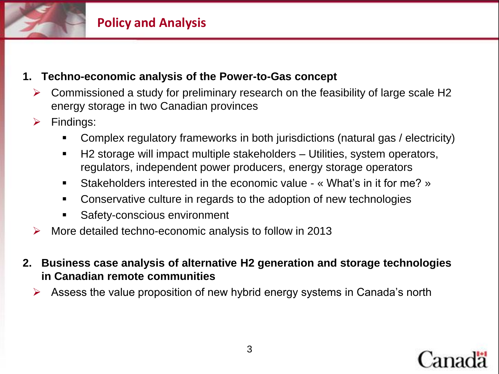

## **1. Techno-economic analysis of the Power-to-Gas concept**

- $\triangleright$  Commissioned a study for preliminary research on the feasibility of large scale H2 energy storage in two Canadian provinces
- $\triangleright$  Findings:
	- Complex regulatory frameworks in both jurisdictions (natural gas / electricity)
	- H2 storage will impact multiple stakeholders Utilities, system operators, regulators, independent power producers, energy storage operators
	- Stakeholders interested in the economic value « What's in it for me? »
	- Conservative culture in regards to the adoption of new technologies
	- Safety-conscious environment
- $\triangleright$  More detailed techno-economic analysis to follow in 2013
- **2. Business case analysis of alternative H2 generation and storage technologies in Canadian remote communities**
	- $\triangleright$  Assess the value proposition of new hybrid energy systems in Canada's north